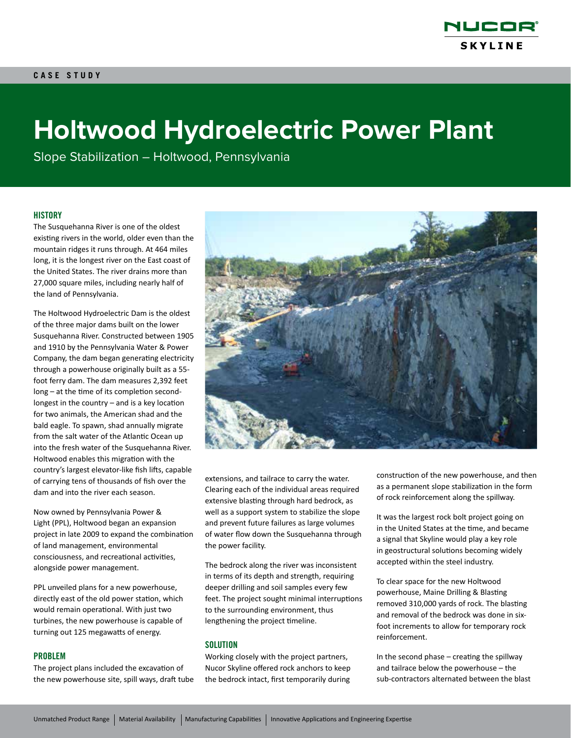

# **Holtwood Hydroelectric Power Plant**

Slope Stabilization – Holtwood, Pennsylvania

#### **HISTORY**

The Susquehanna River is one of the oldest existing rivers in the world, older even than the mountain ridges it runs through. At 464 miles long, it is the longest river on the East coast of the United States. The river drains more than 27,000 square miles, including nearly half of the land of Pennsylvania.

The Holtwood Hydroelectric Dam is the oldest of the three major dams built on the lower Susquehanna River. Constructed between 1905 and 1910 by the Pennsylvania Water & Power Company, the dam began generating electricity through a powerhouse originally built as a 55 foot ferry dam. The dam measures 2,392 feet long – at the time of its completion secondlongest in the country – and is a key location for two animals, the American shad and the bald eagle. To spawn, shad annually migrate from the salt water of the Atlantic Ocean up into the fresh water of the Susquehanna River. Holtwood enables this migration with the country's largest elevator-like fish lifts, capable of carrying tens of thousands of fish over the dam and into the river each season.

Now owned by Pennsylvania Power & Light (PPL), Holtwood began an expansion project in late 2009 to expand the combination of land management, environmental consciousness, and recreational activities, alongside power management.

PPL unveiled plans for a new powerhouse, directly east of the old power station, which would remain operational. With just two turbines, the new powerhouse is capable of turning out 125 megawatts of energy.

#### PROBLEM

The project plans included the excavation of the new powerhouse site, spill ways, draft tube



extensions, and tailrace to carry the water. Clearing each of the individual areas required extensive blasting through hard bedrock, as well as a support system to stabilize the slope and prevent future failures as large volumes of water flow down the Susquehanna through the power facility.

The bedrock along the river was inconsistent in terms of its depth and strength, requiring deeper drilling and soil samples every few feet. The project sought minimal interruptions to the surrounding environment, thus lengthening the project timeline.

#### **SOLUTION**

Working closely with the project partners, Nucor Skyline offered rock anchors to keep the bedrock intact, first temporarily during construction of the new powerhouse, and then as a permanent slope stabilization in the form of rock reinforcement along the spillway.

It was the largest rock bolt project going on in the United States at the time, and became a signal that Skyline would play a key role in geostructural solutions becoming widely accepted within the steel industry.

To clear space for the new Holtwood powerhouse, Maine Drilling & Blasting removed 310,000 yards of rock. The blasting and removal of the bedrock was done in sixfoot increments to allow for temporary rock reinforcement.

In the second phase – creating the spillway and tailrace below the powerhouse – the sub-contractors alternated between the blast